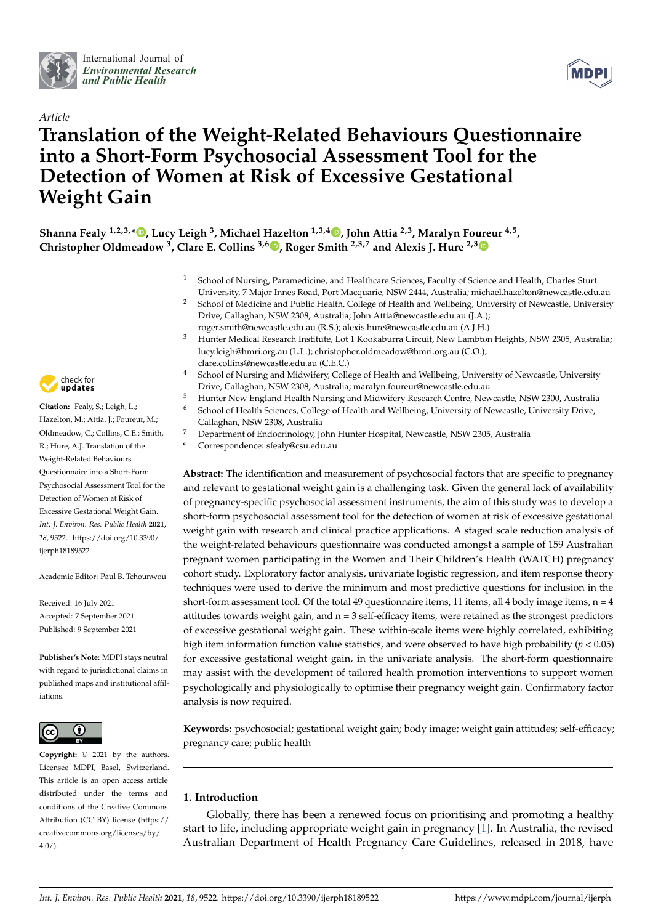



# *Article* **Translation of the Weight-Related Behaviours Questionnaire into a Short-Form Psychosocial Assessment Tool for the Detection of Women at Risk of Excessive Gestational Weight Gain**



- $1$  School of Nursing, Paramedicine, and Healthcare Sciences, Faculty of Science and Health, Charles Sturt University, 7 Major Innes Road, Port Macquarie, NSW 2444, Australia; michael.hazelton@newcastle.edu.au
- <sup>2</sup> School of Medicine and Public Health, College of Health and Wellbeing, University of Newcastle, University Drive, Callaghan, NSW 2308, Australia; John.Attia@newcastle.edu.au (J.A.);
- roger.smith@newcastle.edu.au (R.S.); alexis.hure@newcastle.edu.au (A.J.H.)
- <sup>3</sup> Hunter Medical Research Institute, Lot 1 Kookaburra Circuit, New Lambton Heights, NSW 2305, Australia; lucy.leigh@hmri.org.au (L.L.); christopher.oldmeadow@hmri.org.au (C.O.); clare.collins@newcastle.edu.au (C.E.C.)
- <sup>4</sup> School of Nursing and Midwifery, College of Health and Wellbeing, University of Newcastle, University Drive, Callaghan, NSW 2308, Australia; maralyn.foureur@newcastle.edu.au
- <sup>5</sup> Hunter New England Health Nursing and Midwifery Research Centre, Newcastle, NSW 2300, Australia
- <sup>6</sup> School of Health Sciences, College of Health and Wellbeing, University of Newcastle, University Drive,
	- Callaghan, NSW 2308, Australia
- <sup>7</sup> Department of Endocrinology, John Hunter Hospital, Newcastle, NSW 2305, Australia
	- **\*** Correspondence: sfealy@csu.edu.au

**Abstract:** The identification and measurement of psychosocial factors that are specific to pregnancy and relevant to gestational weight gain is a challenging task. Given the general lack of availability of pregnancy-specific psychosocial assessment instruments, the aim of this study was to develop a short-form psychosocial assessment tool for the detection of women at risk of excessive gestational weight gain with research and clinical practice applications. A staged scale reduction analysis of the weight-related behaviours questionnaire was conducted amongst a sample of 159 Australian pregnant women participating in the Women and Their Children's Health (WATCH) pregnancy cohort study. Exploratory factor analysis, univariate logistic regression, and item response theory techniques were used to derive the minimum and most predictive questions for inclusion in the short-form assessment tool. Of the total 49 questionnaire items, 11 items, all 4 body image items,  $n = 4$ attitudes towards weight gain, and  $n = 3$  self-efficacy items, were retained as the strongest predictors of excessive gestational weight gain. These within-scale items were highly correlated, exhibiting high item information function value statistics, and were observed to have high probability (*p* < 0.05) for excessive gestational weight gain, in the univariate analysis. The short-form questionnaire may assist with the development of tailored health promotion interventions to support women psychologically and physiologically to optimise their pregnancy weight gain. Confirmatory factor analysis is now required.

**Keywords:** psychosocial; gestational weight gain; body image; weight gain attitudes; self-efficacy; pregnancy care; public health

## **1. Introduction**

Globally, there has been a renewed focus on prioritising and promoting a healthy start to life, including appropriate weight gain in pregnancy [\[1\]](#page-10-0). In Australia, the revised Australian Department of Health Pregnancy Care Guidelines, released in 2018, have



**Citation:** Fealy, S.; Leigh, L.; Hazelton, M.; Attia, J.; Foureur, M.; Oldmeadow, C.; Collins, C.E.; Smith, R.; Hure, A.J. Translation of the Weight-Related Behaviours Questionnaire into a Short-Form Psychosocial Assessment Tool for the Detection of Women at Risk of Excessive Gestational Weight Gain. *Int. J. Environ. Res. Public Health* **2021**, *18*, 9522. [https://doi.org/10.3390/](https://doi.org/10.3390/ijerph18189522) [ijerph18189522](https://doi.org/10.3390/ijerph18189522)

Academic Editor: Paul B. Tchounwou

Received: 16 July 2021 Accepted: 7 September 2021 Published: 9 September 2021

**Publisher's Note:** MDPI stays neutral with regard to jurisdictional claims in published maps and institutional affiliations.



**Copyright:** © 2021 by the authors. Licensee MDPI, Basel, Switzerland. This article is an open access article distributed under the terms and conditions of the Creative Commons Attribution (CC BY) license (https:/[/](https://creativecommons.org/licenses/by/4.0/) [creativecommons.org/licenses/by/](https://creativecommons.org/licenses/by/4.0/)  $4.0/$ ).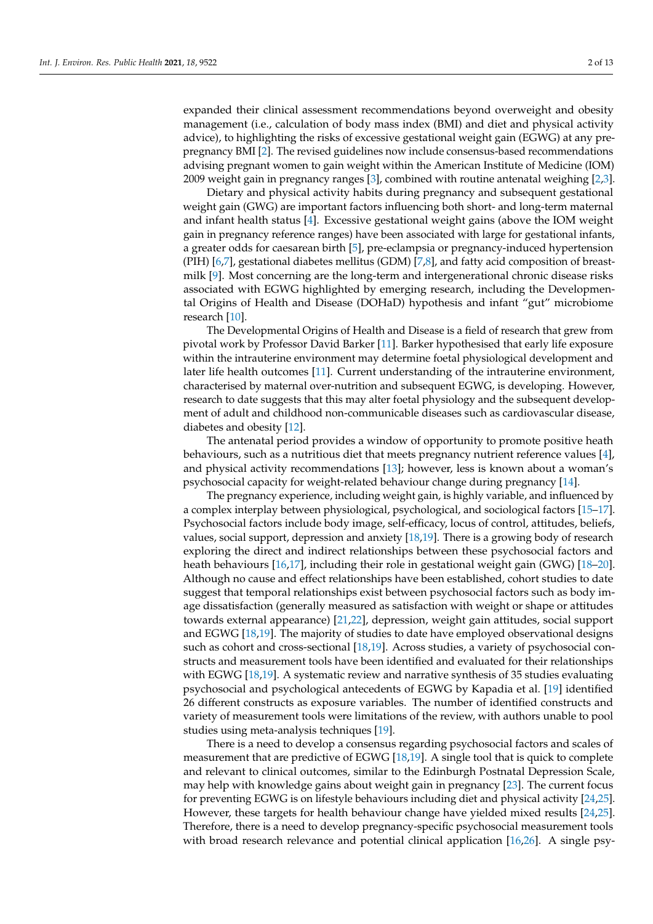expanded their clinical assessment recommendations beyond overweight and obesity management (i.e., calculation of body mass index (BMI) and diet and physical activity advice), to highlighting the risks of excessive gestational weight gain (EGWG) at any prepregnancy BMI [\[2\]](#page-10-1). The revised guidelines now include consensus-based recommendations advising pregnant women to gain weight within the American Institute of Medicine (IOM) 2009 weight gain in pregnancy ranges [\[3\]](#page-10-2), combined with routine antenatal weighing [\[2](#page-10-1)[,3\]](#page-10-2).

Dietary and physical activity habits during pregnancy and subsequent gestational weight gain (GWG) are important factors influencing both short- and long-term maternal and infant health status [\[4\]](#page-10-3). Excessive gestational weight gains (above the IOM weight gain in pregnancy reference ranges) have been associated with large for gestational infants, a greater odds for caesarean birth [\[5\]](#page-10-4), pre-eclampsia or pregnancy-induced hypertension (PIH) [\[6,](#page-10-5)[7\]](#page-10-6), gestational diabetes mellitus (GDM) [\[7,](#page-10-6)[8\]](#page-11-0), and fatty acid composition of breastmilk [\[9\]](#page-11-1). Most concerning are the long-term and intergenerational chronic disease risks associated with EGWG highlighted by emerging research, including the Developmental Origins of Health and Disease (DOHaD) hypothesis and infant "gut" microbiome research [\[10\]](#page-11-2).

The Developmental Origins of Health and Disease is a field of research that grew from pivotal work by Professor David Barker [\[11\]](#page-11-3). Barker hypothesised that early life exposure within the intrauterine environment may determine foetal physiological development and later life health outcomes [\[11\]](#page-11-3). Current understanding of the intrauterine environment, characterised by maternal over-nutrition and subsequent EGWG, is developing. However, research to date suggests that this may alter foetal physiology and the subsequent development of adult and childhood non-communicable diseases such as cardiovascular disease, diabetes and obesity [\[12\]](#page-11-4).

The antenatal period provides a window of opportunity to promote positive heath behaviours, such as a nutritious diet that meets pregnancy nutrient reference values [\[4\]](#page-10-3), and physical activity recommendations [\[13\]](#page-11-5); however, less is known about a woman's psychosocial capacity for weight-related behaviour change during pregnancy [\[14\]](#page-11-6).

The pregnancy experience, including weight gain, is highly variable, and influenced by a complex interplay between physiological, psychological, and sociological factors [\[15](#page-11-7)[–17\]](#page-11-8). Psychosocial factors include body image, self-efficacy, locus of control, attitudes, beliefs, values, social support, depression and anxiety [\[18,](#page-11-9)[19\]](#page-11-10). There is a growing body of research exploring the direct and indirect relationships between these psychosocial factors and heath behaviours [\[16](#page-11-11)[,17\]](#page-11-8), including their role in gestational weight gain (GWG) [\[18](#page-11-9)[–20\]](#page-11-12). Although no cause and effect relationships have been established, cohort studies to date suggest that temporal relationships exist between psychosocial factors such as body image dissatisfaction (generally measured as satisfaction with weight or shape or attitudes towards external appearance) [\[21,](#page-11-13)[22\]](#page-11-14), depression, weight gain attitudes, social support and EGWG [\[18](#page-11-9)[,19\]](#page-11-10). The majority of studies to date have employed observational designs such as cohort and cross-sectional [\[18,](#page-11-9)[19\]](#page-11-10). Across studies, a variety of psychosocial constructs and measurement tools have been identified and evaluated for their relationships with EGWG [\[18,](#page-11-9)[19\]](#page-11-10). A systematic review and narrative synthesis of 35 studies evaluating psychosocial and psychological antecedents of EGWG by Kapadia et al. [\[19\]](#page-11-10) identified 26 different constructs as exposure variables. The number of identified constructs and variety of measurement tools were limitations of the review, with authors unable to pool studies using meta-analysis techniques [\[19\]](#page-11-10).

There is a need to develop a consensus regarding psychosocial factors and scales of measurement that are predictive of EGWG [\[18,](#page-11-9)[19\]](#page-11-10). A single tool that is quick to complete and relevant to clinical outcomes, similar to the Edinburgh Postnatal Depression Scale, may help with knowledge gains about weight gain in pregnancy [\[23\]](#page-11-15). The current focus for preventing EGWG is on lifestyle behaviours including diet and physical activity [\[24](#page-11-16)[,25\]](#page-11-17). However, these targets for health behaviour change have yielded mixed results [\[24,](#page-11-16)[25\]](#page-11-17). Therefore, there is a need to develop pregnancy-specific psychosocial measurement tools with broad research relevance and potential clinical application [\[16,](#page-11-11)[26\]](#page-11-18). A single psy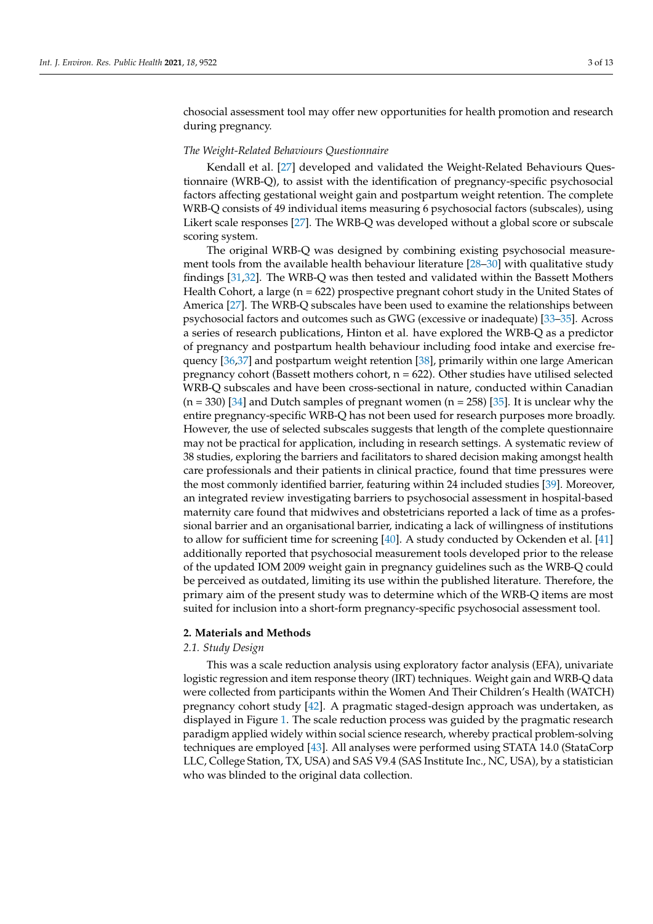chosocial assessment tool may offer new opportunities for health promotion and research during pregnancy.

### *The Weight-Related Behaviours Questionnaire*

Kendall et al. [\[27\]](#page-11-19) developed and validated the Weight-Related Behaviours Questionnaire (WRB-Q), to assist with the identification of pregnancy-specific psychosocial factors affecting gestational weight gain and postpartum weight retention. The complete WRB-Q consists of 49 individual items measuring 6 psychosocial factors (subscales), using Likert scale responses [\[27\]](#page-11-19). The WRB-Q was developed without a global score or subscale scoring system.

The original WRB-Q was designed by combining existing psychosocial measurement tools from the available health behaviour literature [\[28–](#page-11-20)[30\]](#page-11-21) with qualitative study findings [\[31](#page-11-22)[,32\]](#page-11-23). The WRB-Q was then tested and validated within the Bassett Mothers Health Cohort, a large (n = 622) prospective pregnant cohort study in the United States of America [\[27\]](#page-11-19). The WRB-Q subscales have been used to examine the relationships between psychosocial factors and outcomes such as GWG (excessive or inadequate) [\[33](#page-11-24)[–35\]](#page-12-0). Across a series of research publications, Hinton et al. have explored the WRB-Q as a predictor of pregnancy and postpartum health behaviour including food intake and exercise frequency [\[36,](#page-12-1)[37\]](#page-12-2) and postpartum weight retention [\[38\]](#page-12-3), primarily within one large American pregnancy cohort (Bassett mothers cohort,  $n = 622$ ). Other studies have utilised selected WRB-Q subscales and have been cross-sectional in nature, conducted within Canadian  $(n = 330)$  [\[34\]](#page-11-25) and Dutch samples of pregnant women  $(n = 258)$  [\[35\]](#page-12-0). It is unclear why the entire pregnancy-specific WRB-Q has not been used for research purposes more broadly. However, the use of selected subscales suggests that length of the complete questionnaire may not be practical for application, including in research settings. A systematic review of 38 studies, exploring the barriers and facilitators to shared decision making amongst health care professionals and their patients in clinical practice, found that time pressures were the most commonly identified barrier, featuring within 24 included studies [\[39\]](#page-12-4). Moreover, an integrated review investigating barriers to psychosocial assessment in hospital-based maternity care found that midwives and obstetricians reported a lack of time as a professional barrier and an organisational barrier, indicating a lack of willingness of institutions to allow for sufficient time for screening [\[40\]](#page-12-5). A study conducted by Ockenden et al. [\[41\]](#page-12-6) additionally reported that psychosocial measurement tools developed prior to the release of the updated IOM 2009 weight gain in pregnancy guidelines such as the WRB-Q could be perceived as outdated, limiting its use within the published literature. Therefore, the primary aim of the present study was to determine which of the WRB-Q items are most suited for inclusion into a short-form pregnancy-specific psychosocial assessment tool.

#### **2. Materials and Methods**

## *2.1. Study Design*

This was a scale reduction analysis using exploratory factor analysis (EFA), univariate logistic regression and item response theory (IRT) techniques. Weight gain and WRB-Q data were collected from participants within the Women And Their Children's Health (WATCH) pregnancy cohort study [\[42\]](#page-12-7). A pragmatic staged-design approach was undertaken, as displayed in Figure [1.](#page-3-0) The scale reduction process was guided by the pragmatic research paradigm applied widely within social science research, whereby practical problem-solving techniques are employed [\[43\]](#page-12-8). All analyses were performed using STATA 14.0 (StataCorp LLC, College Station, TX, USA) and SAS V9.4 (SAS Institute Inc., NC, USA), by a statistician who was blinded to the original data collection.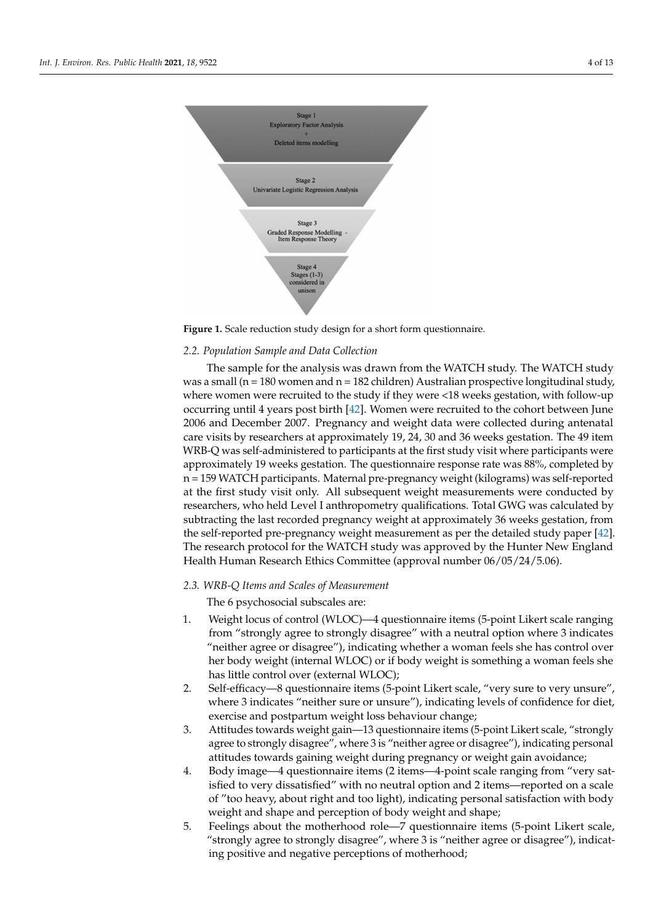<span id="page-3-0"></span>

**Figure 1.** Scale reduction study design for a short form questionnaire. **Figure 1.** Scale reduction study design for a short form questionnaire.

14.0 (StataCorp LLC, College Station, TX, USA) and SAS V9.4 (SAS Institute Inc., NC,

## *2.2. Population Sample and Data Collection 2.2. Population Sample and Data Collection*

The sample for the analysis was drawn from the WATCH study. The WATCH study was a small (n = 180 women and n = 182 children) Australian prospective longitudinal was a small (n = 180 women and n = 182 children) Australian prospective longitudinal study, where women were recruited to the study if they were <18 weeks gestation, with follow-up occurring until 4 years post birth [\[42\]](#page-12-7). Women were recruited to the cohort between June  $\frac{1}{200}$  and December 2007. Pregnancy and weight data were collected during 2006 and December 2007. Pregnancy and weight data were collected during antenatal care visits by researchers at approximately 19, 24, 30 and 36 weeks gestation. The 49 item WRB-Q was self-administered to participants at the first study visit where participants were approximately 19 weeks gestation. The questionnaire response rate was 88%, completed by n = 159 WATCH participants. Maternal pre-pregnancy weight (kilograms) was self-reported at the first study visit only. All subsequent weight measurements were conducted by  $t_{\text{reco}}$  who held Lavel Lanthropometry qualifications. Total GWG was researchers, who held Level I anthropometry qualifications. Total GWG was calculated by subtracting the last recorded pregnancy weight at approximately 36 weeks gestation, from the self-reported pre-pregnancy weight measurement as per the detailed study paper [\[42\]](#page-12-7). The research protocol for the WATCH study was approved by the Hunter New England Health Human Research Ethics Committee (approval number 06/05/24/5.06).

## 2.3. WRB-Q Items and Scales of Measurement

The 6 psychosocial subscales are: The 6 psychosocial subscales are:

- $f(x)$  is trongly and  $f(x)$  and  $f(x)$  and  $f(x)$  indicates  $f(x)$  indicates where  $3$  indicates  $3$  indicates  $3$  indicates  $3$  indicates  $3$  indicates  $3$  indicates  $3$  indicates  $3$  indicates  $3$  indicates  $3$  indicates  $3$ 1. Weight locus of control (WLOC)—4 questionnaire items (5-point Likert scale ranging from "strongly agree to strongly disagree" with a neutral option where 3 indicates "neither agree or disagree"), indicating whether a woman feels she has control over her body weight (internal WLOC) or if body weight is something a woman feels she has little control over (external WLOC);
- 2. Self-efficacy—8 questionnaire items (5-point Likert scale, "very sure to very unsure",  $\frac{3.5}{2}$  indicates "periharawe an unques") indication layels of confid where 3 indicates "neither sure or unsure"), indicating levels of confidence for diet, exercise and postpartum weight loss behaviour change;
- 3. Attitudes towards weight gain—13 questionnaire items (5-point Likert scale, "strongly agree to strongly disagree", where 3 is "neither agree or disagree"), indicating personal attitudes towards gaining weight during pregnancy or weight gain avoidance;
- 4. Body image—4 questionnaire items (2 items—4-point scale ranging from "very satisfied to very dissatisfied" with no neutral option and 2 items—reported on a scale of "too heavy, about right and too light), indicating personal satisfaction with body weight and shape and perception of body weight and shape;
- 5. Feelings about the motherhood role—7 questionnaire items (5-point Likert scale, "strongly agree to strongly disagree", where 3 is "neither agree or disagree"), indicating positive and negative perceptions of motherhood;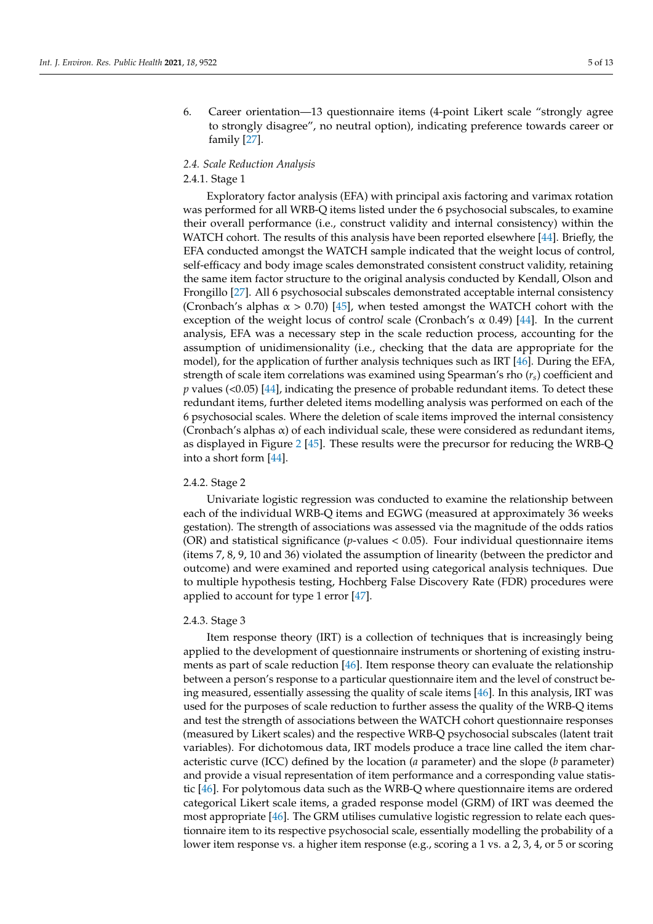6. Career orientation—13 questionnaire items (4-point Likert scale "strongly agree to strongly disagree", no neutral option), indicating preference towards career or family [\[27\]](#page-11-19).

#### *2.4. Scale Reduction Analysis*

## 2.4.1. Stage 1

Exploratory factor analysis (EFA) with principal axis factoring and varimax rotation was performed for all WRB-Q items listed under the 6 psychosocial subscales, to examine their overall performance (i.e., construct validity and internal consistency) within the WATCH cohort. The results of this analysis have been reported elsewhere [\[44\]](#page-12-9). Briefly, the EFA conducted amongst the WATCH sample indicated that the weight locus of control, self-efficacy and body image scales demonstrated consistent construct validity, retaining the same item factor structure to the original analysis conducted by Kendall, Olson and Frongillo [\[27\]](#page-11-19). All 6 psychosocial subscales demonstrated acceptable internal consistency (Cronbach's alphas  $\alpha > 0.70$ ) [\[45\]](#page-12-10), when tested amongst the WATCH cohort with the exception of the weight locus of control scale (Cronbach's  $\alpha$  0.49) [\[44\]](#page-12-9). In the current analysis, EFA was a necessary step in the scale reduction process, accounting for the assumption of unidimensionality (i.e., checking that the data are appropriate for the model), for the application of further analysis techniques such as IRT [\[46\]](#page-12-11). During the EFA, strength of scale item correlations was examined using Spearman's rho (*rs*) coefficient and *p* values (<0.05) [\[44\]](#page-12-9), indicating the presence of probable redundant items. To detect these redundant items, further deleted items modelling analysis was performed on each of the 6 psychosocial scales. Where the deletion of scale items improved the internal consistency (Cronbach's alphas  $\alpha$ ) of each individual scale, these were considered as redundant items, as displayed in Figure [2](#page-5-0) [\[45\]](#page-12-10). These results were the precursor for reducing the WRB-Q into a short form [\[44\]](#page-12-9).

#### 2.4.2. Stage 2

Univariate logistic regression was conducted to examine the relationship between each of the individual WRB-Q items and EGWG (measured at approximately 36 weeks gestation). The strength of associations was assessed via the magnitude of the odds ratios (OR) and statistical significance (*p*-values < 0.05). Four individual questionnaire items (items 7, 8, 9, 10 and 36) violated the assumption of linearity (between the predictor and outcome) and were examined and reported using categorical analysis techniques. Due to multiple hypothesis testing, Hochberg False Discovery Rate (FDR) procedures were applied to account for type 1 error [\[47\]](#page-12-12).

#### 2.4.3. Stage 3

Item response theory (IRT) is a collection of techniques that is increasingly being applied to the development of questionnaire instruments or shortening of existing instruments as part of scale reduction [\[46\]](#page-12-11). Item response theory can evaluate the relationship between a person's response to a particular questionnaire item and the level of construct being measured, essentially assessing the quality of scale items [\[46\]](#page-12-11). In this analysis, IRT was used for the purposes of scale reduction to further assess the quality of the WRB-Q items and test the strength of associations between the WATCH cohort questionnaire responses (measured by Likert scales) and the respective WRB-Q psychosocial subscales (latent trait variables). For dichotomous data, IRT models produce a trace line called the item characteristic curve (ICC) defined by the location (*a* parameter) and the slope (*b* parameter) and provide a visual representation of item performance and a corresponding value statistic [\[46\]](#page-12-11). For polytomous data such as the WRB-Q where questionnaire items are ordered categorical Likert scale items, a graded response model (GRM) of IRT was deemed the most appropriate [\[46\]](#page-12-11). The GRM utilises cumulative logistic regression to relate each questionnaire item to its respective psychosocial scale, essentially modelling the probability of a lower item response vs. a higher item response (e.g., scoring a 1 vs. a 2, 3, 4, or 5 or scoring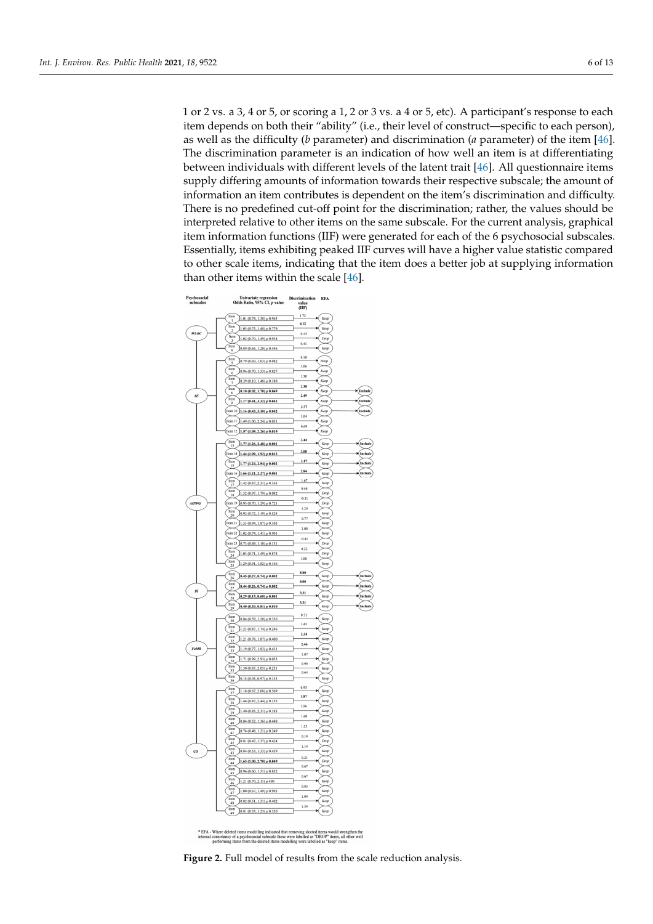1 or 2 vs. a 3, 4 or 5, or scoring a 1, 2 or 3 vs. a 4 or 5, etc). A participant's response to each item depends on both their "ability" (i.e., their level of construct—specific to each person), as well as the difficulty (*b* parameter) and discrimination (*a* parameter) of the item [\[46\]](#page-12-11). The discrimination parameter is an indication of how well an item is at differentiating between individuals with different levels of the latent trait [\[46\]](#page-12-11). All questionnaire items supply differing amounts of information towards their respective subscale; the amount of information an item contributes is dependent on the item's discrimination and difficulty. There is no predefined cut-off point for the discrimination; rather, the values should be interpreted relative to other items on the same subscale. For the current analysis, graphical item information functions (IIF) were generated for each of the 6 psychosocial subscales. Essentially, items exhibiting peaked IIF curves will have a higher value statistic compared to other scale items, indicating that the item does a better job at supplying information than other items within the scale [\[46\]](#page-12-11).

<span id="page-5-0"></span>

| Psychosocial<br>subscales | Univariate regression<br>Odds Ratio, 95% CI, p value                  | <b>Discrimination</b><br>value<br>(IIF) | EFA          |                 |
|---------------------------|-----------------------------------------------------------------------|-----------------------------------------|--------------|-----------------|
| <b>WLOC</b>               | Item<br>1.01 (0.74, 1.38) $p$ 0.963                                   | 1.72                                    | Keep         |                 |
|                           | Item<br>1.05(0.75, 1.48) p 0.779                                      | 4.12                                    | Keep         |                 |
|                           | Item<br>1.02(0.70, 1.49) p 0.934                                      | 0.13                                    | Drot         |                 |
|                           | ۹<br>Item<br>0.89(0.66, 1.20) p 0.446                                 | 0.41                                    | Кеер         |                 |
|                           | 4<br>Item                                                             | 0.18                                    |              |                 |
| SE                        | 0.79(0.60, 1.03) p 0.082                                              | 1.06                                    | Drop         |                 |
|                           | Item<br>0.96(0.70, 1.33) p 0.827<br>6                                 | 1.30                                    | Keep         |                 |
|                           | Item<br>0.39(0.10, 1.48) p 0.188                                      | 2.38                                    | Keet         |                 |
|                           | Item<br>$0.18(0.02, 1.70)$ p $0.049$                                  | 2.49                                    | Keep         | (Include        |
|                           | Item<br>1.17 (0.41, 3.32) $p$ 0.042                                   | 2.77                                    | Keep         | (Include        |
|                           | (Item 10<br>1.16 (0.43, 3.10) $p$ 0.042                               | 1.04                                    | Keep         | Include         |
|                           | (Item 11<br>1.49(1.00, 2.24) p 0.051                                  | 0.69                                    | Кеер         |                 |
|                           | Item 12<br>1.57(1.09, 2.26) p 0.015                                   |                                         | Keep         |                 |
|                           | Item<br>1.77 (1.26, 2.48) $p$ 0.001                                   | 3.44                                    | Keep         | Include         |
|                           | (Item 14<br>1.44 (1.09, 1.92) $p$ 0.012                               | 3.08                                    | Кеер         | Include         |
|                           | Item<br>$1.77$ (1.24, 2.54) $p$ 0.002                                 | 3.17                                    | Keep         | Include         |
|                           | 15<br>(Item 16<br>$1.66$ (1.21, 2.27) $p$ 0.001                       | 2.84                                    | Кеер         | Include         |
|                           | Item<br>$1.42(0.87, 2.31)p$ 0.163                                     | 1.67                                    | Keep         |                 |
|                           | 17<br>Item<br>1.32 (0.97, 1.79) $p$ 0.082                             | 0.46                                    | Drop         |                 |
|                           | 18<br>(Item 19                                                        | $-0.11$                                 |              |                 |
| <b>AtTWG</b>              | 0.95(0.70, 1.29) p 0.721<br>Item                                      | 1.20                                    | Drop         |                 |
|                           | 0.92(0.72, 1.19) p 0.528<br>20                                        | 0.77                                    | Кеер         |                 |
|                           | $($ Item 21<br>1.33(0.94, 1.87) p 0.105                               | 1.00                                    | Keep         |                 |
|                           | (Item 22<br>1.02(0.74, 1.41) p 0.901                                  | $-0.41$                                 | Keep         |                 |
|                           | (Item 23<br>0.73(0.49, 1.10)p0.131                                    | 0.22                                    | Drop         |                 |
|                           | Item<br>1.03(0.71, 1.49) p 0.874<br>24<br>Item                        | 1.00                                    | Drop         |                 |
|                           | 1.29(0.91, 1.82) p 0.146<br>$^{25}$                                   |                                         | Keep         |                 |
|                           | Item<br>$0.45(0.27, 0.74)$ $p 0.002$<br>26                            | 8.80                                    | Кеер         | $\big($ Include |
| BI                        | Item<br>$0.44$ (0.26, 0.74) $p$ 0.002<br>27                           | 8.80                                    | Keep         | Include         |
|                           | Item<br>$0.29(0.15, 0.60)$ $p 0.001$<br>28                            | 3.31                                    | Кеер         | Include         |
|                           | Item<br>0.40(0.20, 0.81) p 0.010                                      | 3.31                                    | Keep         | Include         |
|                           | Item<br>0.84(0.59, 1.20) p 0.336                                      | 0.71                                    | Keep         |                 |
|                           | 30<br>Item<br>1.23(0.87, 1.74) p 0.246                                | 1.43                                    | Keep         |                 |
| <b>FaMR</b>               | $\frac{1}{2}$<br>Item                                                 | 2.34                                    | Keep         |                 |
|                           | 1.21(0.78, 1.87) p 0.400<br>32<br>Item<br>1.19 (0.77, 1.83) $p$ 0.431 | 2.46                                    | Keep         |                 |
|                           | 33<br>Item                                                            | 1.07                                    |              |                 |
|                           | 1.71(0.99, 2.93) p 0.053<br>34<br>Iter<br>1.30 (0.83, 2.05) $p$ 0.251 | 0.99                                    | Keep<br>Keep |                 |
|                           | 35<br>Item                                                            | 0.64                                    |              |                 |
|                           | 0.18(0.03, 0.97) p 0.133<br>36                                        | 0.93                                    | Кеер         |                 |
|                           | Item $\frac{37}{37}$<br>1.18(0.67, 2.08) p 0.569                      | 1.87                                    | Keep         |                 |
|                           | Item<br>1.46 (0.87, 2.44) p 0.155<br>38                               | 1.56                                    | Keep         |                 |
|                           | Item<br>1.40(0.85, 2.31) p 0.183<br>39                                | 1.60                                    | Кеер         |                 |
|                           | Item<br>$0.84$ (0.52, 1.36) $p$ 0.488<br>40                           | 1.23                                    | Keep         |                 |
|                           | Item<br>0.76(0.48, 1.21) p 0.249<br>41                                | 0.19                                    | Keep         |                 |
|                           | Item<br>0.81(0.47, 1.37) p 0.424<br>42                                |                                         | Drop         |                 |
| co                        | Item<br>43<br>$0.84$ (0.53, 1.33) $p$ 0.459                           | 1.14                                    | Keep         |                 |
|                           | Item<br>1.65 (1.00, 2.70) $p$ 0.049<br>44                             | 0.21                                    | Drop         |                 |
|                           | Item<br>0.96(0.60, 1.51) p 0.852<br>45                                | 0.67                                    | Keep         |                 |
|                           | Iten<br>$1.21(0.70, 2.11)$ $p$ 490<br>.<br>46                         | 0.67                                    | Keep         |                 |
|                           | Item<br>1.00(0.67, 1.49) p 0.993<br>47                                | 0.83                                    | Keep         |                 |
|                           | Item<br>0.82(0.51, 1.31) p 0.402<br>48                                | 1.04                                    | Кеер         |                 |
|                           | Item<br>0.81(0.53, 1.23) p 0.320                                      | 1.39                                    | Keep         |                 |
|                           |                                                                       |                                         |              |                 |

 $*$  EFA - Where deleted items modelling indicated that removing slected items would strengthen the internal consistancy of a psychosocial subseale these were labelled as "DROP" items, all other well performing items from

**Figure 2.** Full model of results from the scale reduction analysis. **Figure 2.** Full model of results from the scale reduction analysis.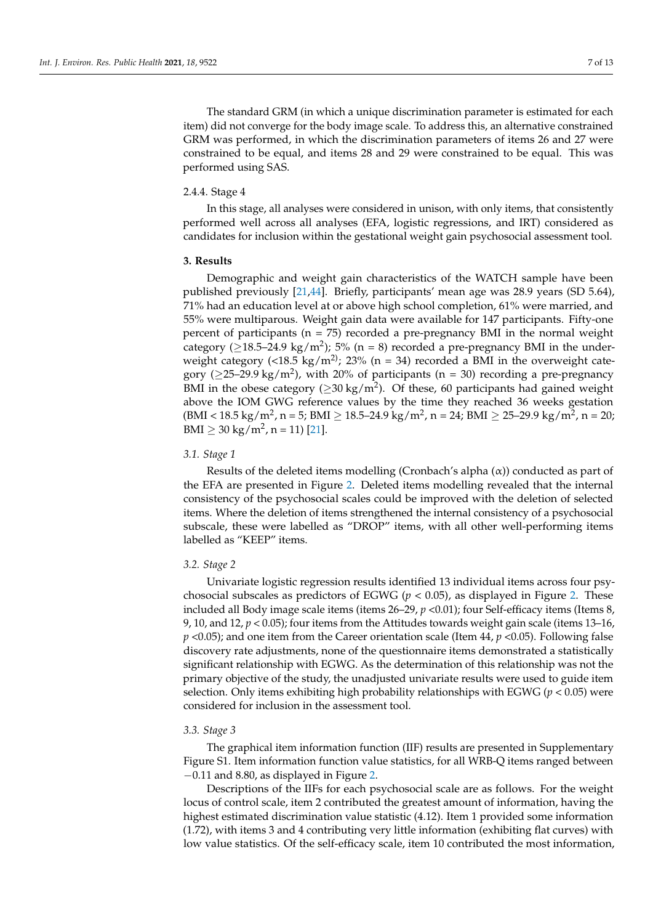The standard GRM (in which a unique discrimination parameter is estimated for each item) did not converge for the body image scale. To address this, an alternative constrained GRM was performed, in which the discrimination parameters of items 26 and 27 were constrained to be equal, and items 28 and 29 were constrained to be equal. This was performed using SAS.

## 2.4.4. Stage 4

In this stage, all analyses were considered in unison, with only items, that consistently performed well across all analyses (EFA, logistic regressions, and IRT) considered as candidates for inclusion within the gestational weight gain psychosocial assessment tool.

#### **3. Results**

Demographic and weight gain characteristics of the WATCH sample have been published previously [\[21](#page-11-13)[,44\]](#page-12-9). Briefly, participants' mean age was 28.9 years (SD 5.64), 71% had an education level at or above high school completion, 61% were married, and 55% were multiparous. Weight gain data were available for 147 participants. Fifty-one percent of participants ( $n = 75$ ) recorded a pre-pregnancy BMI in the normal weight category ( $\geq$ 18.5–24.9 kg/m<sup>2</sup>); 5% (n = 8) recorded a pre-pregnancy BMI in the underweight category (<18.5 kg/m<sup>2</sup>); 23% (n = 34) recorded a BMI in the overweight category ( $\geq$ 25–29.9 kg/m<sup>2</sup>), with 20% of participants (n = 30) recording a pre-pregnancy BMI in the obese category ( $\geq$ 30 kg/m<sup>2</sup>). Of these, 60 participants had gained weight above the IOM GWG reference values by the time they reached 36 weeks gestation (BMI < 18.5 kg/m<sup>2</sup>, n = 5; BMI  $\geq 18.5$ -24.9 kg/m<sup>2</sup>, n = 24; BMI  $\geq 25$ -29.9 kg/m<sup>2</sup>, n = 20;  $\text{BMI} \geq 30 \text{ kg/m}^2$ , n = 11) [\[21\]](#page-11-13).

#### *3.1. Stage 1*

Results of the deleted items modelling (Cronbach's alpha  $(\alpha)$ ) conducted as part of the EFA are presented in Figure [2.](#page-5-0) Deleted items modelling revealed that the internal consistency of the psychosocial scales could be improved with the deletion of selected items. Where the deletion of items strengthened the internal consistency of a psychosocial subscale, these were labelled as "DROP" items, with all other well-performing items labelled as "KEEP" items.

#### *3.2. Stage 2*

Univariate logistic regression results identified 13 individual items across four psychosocial subscales as predictors of EGWG ( $p < 0.05$ ), as displayed in Figure [2.](#page-5-0) These included all Body image scale items (items  $26-29$ ,  $p < 0.01$ ); four Self-efficacy items (Items 8, 9, 10, and 12,  $p < 0.05$ ; four items from the Attitudes towards weight gain scale (items 13–16, *p* <0.05); and one item from the Career orientation scale (Item 44, *p* <0.05). Following false discovery rate adjustments, none of the questionnaire items demonstrated a statistically significant relationship with EGWG. As the determination of this relationship was not the primary objective of the study, the unadjusted univariate results were used to guide item selection. Only items exhibiting high probability relationships with EGWG ( $p < 0.05$ ) were considered for inclusion in the assessment tool.

## *3.3. Stage 3*

The graphical item information function (IIF) results are presented in Supplementary Figure S1. Item information function value statistics, for all WRB-Q items ranged between −0.11 and 8.80, as displayed in Figure [2.](#page-5-0)

Descriptions of the IIFs for each psychosocial scale are as follows. For the weight locus of control scale, item 2 contributed the greatest amount of information, having the highest estimated discrimination value statistic (4.12). Item 1 provided some information (1.72), with items 3 and 4 contributing very little information (exhibiting flat curves) with low value statistics. Of the self-efficacy scale, item 10 contributed the most information,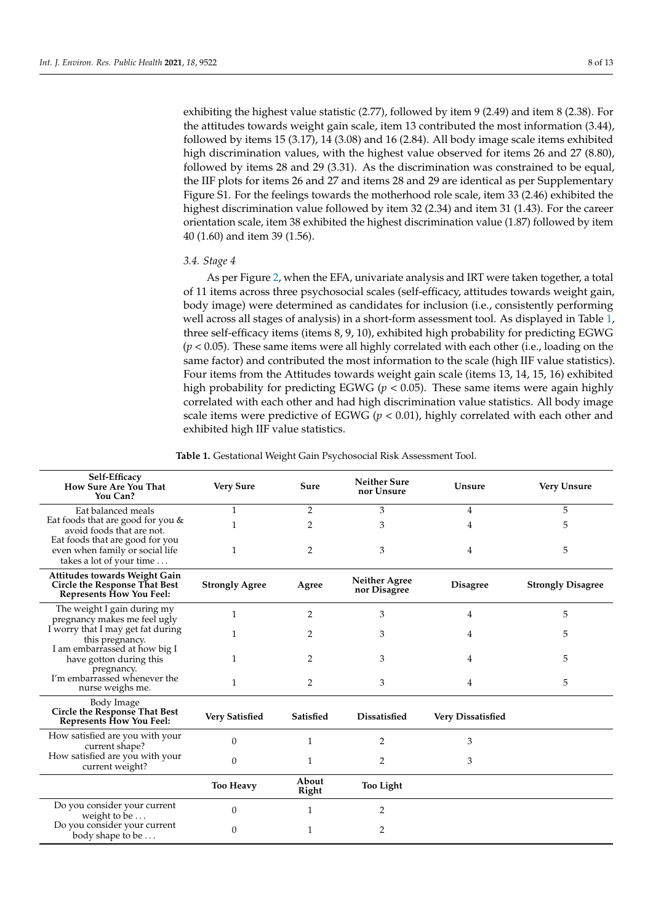exhibiting the highest value statistic (2.77), followed by item 9 (2.49) and item 8 (2.38). For the attitudes towards weight gain scale, item 13 contributed the most information (3.44), followed by items 15 (3.17), 14 (3.08) and 16 (2.84). All body image scale items exhibited high discrimination values, with the highest value observed for items 26 and 27 (8.80), followed by items 28 and 29 (3.31). As the discrimination was constrained to be equal, the IIF plots for items 26 and 27 and items 28 and 29 are identical as per Supplementary Figure S1. For the feelings towards the motherhood role scale, item 33 (2.46) exhibited the highest discrimination value followed by item 32 (2.34) and item 31 (1.43). For the career orientation scale, item 38 exhibited the highest discrimination value (1.87) followed by item 40 (1.60) and item 39 (1.56).

#### *3.4. Stage 4*

As per Figure [2,](#page-5-0) when the EFA, univariate analysis and IRT were taken together, a total of 11 items across three psychosocial scales (self-efficacy, attitudes towards weight gain, body image) were determined as candidates for inclusion (i.e., consistently performing well across all stages of analysis) in a short-form assessment tool. As displayed in Table [1,](#page-7-0) three self-efficacy items (items 8, 9, 10), exhibited high probability for predicting EGWG (*p* < 0.05). These same items were all highly correlated with each other (i.e., loading on the same factor) and contributed the most information to the scale (high IIF value statistics). Four items from the Attitudes towards weight gain scale (items 13, 14, 15, 16) exhibited high probability for predicting EGWG ( $p < 0.05$ ). These same items were again highly correlated with each other and had high discrimination value statistics. All body image scale items were predictive of EGWG ( $p < 0.01$ ), highly correlated with each other and exhibited high IIF value statistics.

#### **Table 1.** Gestational Weight Gain Psychosocial Risk Assessment Tool.

<span id="page-7-0"></span>

| Self-Efficacy<br>How Sure Are You That<br>You Can?                                                                          | <b>Very Sure</b>      | <b>Sure</b>    | <b>Neither Sure</b><br>nor Unsure    | Unsure            | <b>Very Unsure</b>       |
|-----------------------------------------------------------------------------------------------------------------------------|-----------------------|----------------|--------------------------------------|-------------------|--------------------------|
| Eat balanced meals                                                                                                          | 1                     | $\overline{2}$ | 3                                    | 4                 | 5                        |
| Eat foods that are good for you $\&$                                                                                        | $\mathbf{1}$          | $\overline{2}$ | 3                                    | 4                 | 5                        |
| avoid foods that are not.<br>Eat foods that are good for you<br>even when family or social life<br>takes a lot of your time | $\mathbf{1}$          | 2              | 3                                    | 4                 | 5                        |
| Attitudes towards Weight Gain<br><b>Circle the Response That Best</b><br><b>Represents How You Feel:</b>                    | <b>Strongly Agree</b> | Agree          | <b>Neither Agree</b><br>nor Disagree | <b>Disagree</b>   | <b>Strongly Disagree</b> |
| The weight I gain during my<br>pregnancy makes me feel ugly                                                                 | $\mathbf{1}$          | $\overline{2}$ | 3                                    | 4                 | 5                        |
| I worry that I may get fat during<br>this pregnancy.                                                                        | 1                     | 2              | 3                                    | 4                 | 5                        |
| I am embarrassed at how big I<br>have gotton during this                                                                    | 1                     | 2              | 3                                    | 4                 | 5                        |
| pregnancy.<br>I'm embarrassed whenever the<br>nurse weighs me.                                                              | $\mathbf{1}$          | 2              | 3                                    | 4                 | 5                        |
| Body Image<br><b>Circle the Response That Best</b><br><b>Represents How You Feel:</b>                                       | Very Satisfied        | Satisfied      | <b>Dissatisfied</b>                  | Very Dissatisfied |                          |
| How satisfied are you with your<br>current shape?                                                                           | $\theta$              | 1              | 2                                    | 3                 |                          |
| How satisfied are you with your<br>current weight?                                                                          | $\theta$              | $\mathbf{1}$   | 2                                    | 3                 |                          |
|                                                                                                                             | <b>Too Heavy</b>      | About<br>Right | <b>Too Light</b>                     |                   |                          |
| Do you consider your current<br>weight to be $\dots$                                                                        | $\theta$              | 1              | 2                                    |                   |                          |
| Do you consider your current<br>body shape to be                                                                            | $\theta$              | 1              | 2                                    |                   |                          |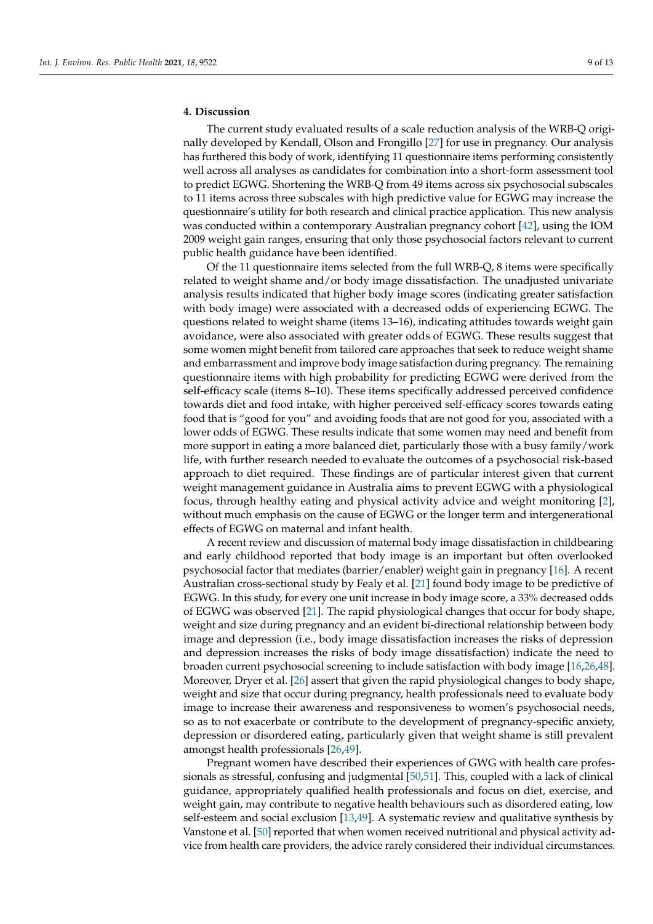The current study evaluated results of a scale reduction analysis of the WRB-Q originally developed by Kendall, Olson and Frongillo [\[27\]](#page-11-19) for use in pregnancy. Our analysis has furthered this body of work, identifying 11 questionnaire items performing consistently well across all analyses as candidates for combination into a short-form assessment tool to predict EGWG. Shortening the WRB-Q from 49 items across six psychosocial subscales to 11 items across three subscales with high predictive value for EGWG may increase the questionnaire's utility for both research and clinical practice application. This new analysis was conducted within a contemporary Australian pregnancy cohort [\[42\]](#page-12-7), using the IOM 2009 weight gain ranges, ensuring that only those psychosocial factors relevant to current public health guidance have been identified.

Of the 11 questionnaire items selected from the full WRB-Q, 8 items were specifically related to weight shame and/or body image dissatisfaction. The unadjusted univariate analysis results indicated that higher body image scores (indicating greater satisfaction with body image) were associated with a decreased odds of experiencing EGWG. The questions related to weight shame (items 13–16), indicating attitudes towards weight gain avoidance, were also associated with greater odds of EGWG. These results suggest that some women might benefit from tailored care approaches that seek to reduce weight shame and embarrassment and improve body image satisfaction during pregnancy. The remaining questionnaire items with high probability for predicting EGWG were derived from the self-efficacy scale (items 8–10). These items specifically addressed perceived confidence towards diet and food intake, with higher perceived self-efficacy scores towards eating food that is "good for you" and avoiding foods that are not good for you, associated with a lower odds of EGWG. These results indicate that some women may need and benefit from more support in eating a more balanced diet, particularly those with a busy family/work life, with further research needed to evaluate the outcomes of a psychosocial risk-based approach to diet required. These findings are of particular interest given that current weight management guidance in Australia aims to prevent EGWG with a physiological focus, through healthy eating and physical activity advice and weight monitoring [\[2\]](#page-10-1), without much emphasis on the cause of EGWG or the longer term and intergenerational effects of EGWG on maternal and infant health.

A recent review and discussion of maternal body image dissatisfaction in childbearing and early childhood reported that body image is an important but often overlooked psychosocial factor that mediates (barrier/enabler) weight gain in pregnancy [\[16\]](#page-11-11). A recent Australian cross-sectional study by Fealy et al. [\[21\]](#page-11-13) found body image to be predictive of EGWG. In this study, for every one unit increase in body image score, a 33% decreased odds of EGWG was observed [\[21\]](#page-11-13). The rapid physiological changes that occur for body shape, weight and size during pregnancy and an evident bi-directional relationship between body image and depression (i.e., body image dissatisfaction increases the risks of depression and depression increases the risks of body image dissatisfaction) indicate the need to broaden current psychosocial screening to include satisfaction with body image [\[16](#page-11-11)[,26](#page-11-18)[,48\]](#page-12-13). Moreover, Dryer et al. [\[26\]](#page-11-18) assert that given the rapid physiological changes to body shape, weight and size that occur during pregnancy, health professionals need to evaluate body image to increase their awareness and responsiveness to women's psychosocial needs, so as to not exacerbate or contribute to the development of pregnancy-specific anxiety, depression or disordered eating, particularly given that weight shame is still prevalent amongst health professionals [\[26](#page-11-18)[,49\]](#page-12-14).

Pregnant women have described their experiences of GWG with health care professionals as stressful, confusing and judgmental [\[50](#page-12-15)[,51\]](#page-12-16). This, coupled with a lack of clinical guidance, appropriately qualified health professionals and focus on diet, exercise, and weight gain, may contribute to negative health behaviours such as disordered eating, low self-esteem and social exclusion [\[13,](#page-11-5)[49\]](#page-12-14). A systematic review and qualitative synthesis by Vanstone et al. [\[50\]](#page-12-15) reported that when women received nutritional and physical activity advice from health care providers, the advice rarely considered their individual circumstances.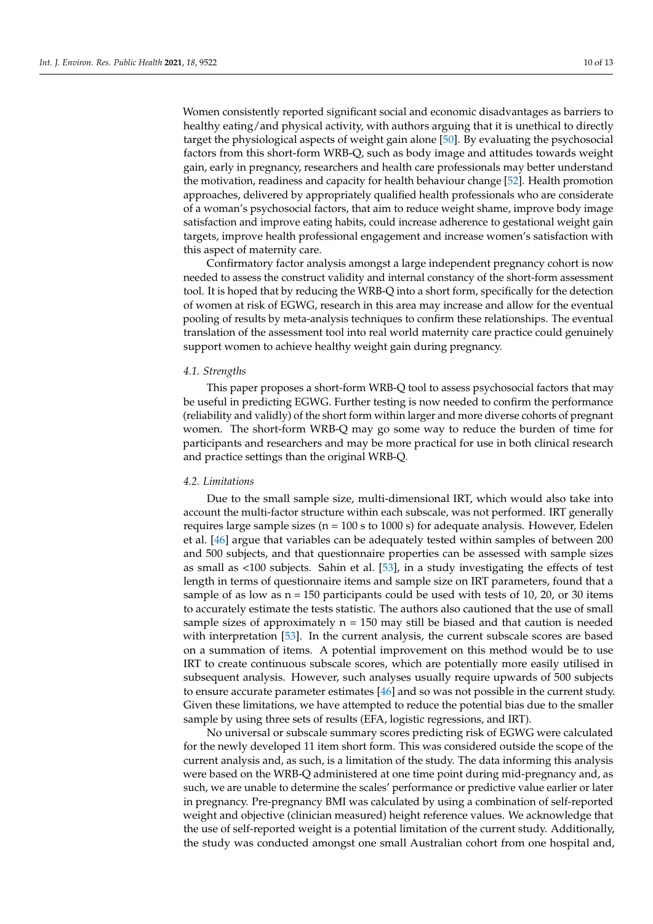Women consistently reported significant social and economic disadvantages as barriers to healthy eating/and physical activity, with authors arguing that it is unethical to directly target the physiological aspects of weight gain alone [\[50\]](#page-12-15). By evaluating the psychosocial factors from this short-form WRB-Q, such as body image and attitudes towards weight gain, early in pregnancy, researchers and health care professionals may better understand the motivation, readiness and capacity for health behaviour change [\[52\]](#page-12-17). Health promotion approaches, delivered by appropriately qualified health professionals who are considerate of a woman's psychosocial factors, that aim to reduce weight shame, improve body image satisfaction and improve eating habits, could increase adherence to gestational weight gain targets, improve health professional engagement and increase women's satisfaction with this aspect of maternity care.

Confirmatory factor analysis amongst a large independent pregnancy cohort is now needed to assess the construct validity and internal constancy of the short-form assessment tool. It is hoped that by reducing the WRB-Q into a short form, specifically for the detection of women at risk of EGWG, research in this area may increase and allow for the eventual pooling of results by meta-analysis techniques to confirm these relationships. The eventual translation of the assessment tool into real world maternity care practice could genuinely support women to achieve healthy weight gain during pregnancy.

#### *4.1. Strengths*

This paper proposes a short-form WRB-Q tool to assess psychosocial factors that may be useful in predicting EGWG. Further testing is now needed to confirm the performance (reliability and validly) of the short form within larger and more diverse cohorts of pregnant women. The short-form WRB-Q may go some way to reduce the burden of time for participants and researchers and may be more practical for use in both clinical research and practice settings than the original WRB-Q.

#### *4.2. Limitations*

Due to the small sample size, multi-dimensional IRT, which would also take into account the multi-factor structure within each subscale, was not performed. IRT generally requires large sample sizes ( $n = 100$  s to 1000 s) for adequate analysis. However, Edelen et al. [\[46\]](#page-12-11) argue that variables can be adequately tested within samples of between 200 and 500 subjects, and that questionnaire properties can be assessed with sample sizes as small as <100 subjects. Sahin et al. [\[53\]](#page-12-18), in a study investigating the effects of test length in terms of questionnaire items and sample size on IRT parameters, found that a sample of as low as  $n = 150$  participants could be used with tests of 10, 20, or 30 items to accurately estimate the tests statistic. The authors also cautioned that the use of small sample sizes of approximately  $n = 150$  may still be biased and that caution is needed with interpretation [\[53\]](#page-12-18). In the current analysis, the current subscale scores are based on a summation of items. A potential improvement on this method would be to use IRT to create continuous subscale scores, which are potentially more easily utilised in subsequent analysis. However, such analyses usually require upwards of 500 subjects to ensure accurate parameter estimates [\[46\]](#page-12-11) and so was not possible in the current study. Given these limitations, we have attempted to reduce the potential bias due to the smaller sample by using three sets of results (EFA, logistic regressions, and IRT).

No universal or subscale summary scores predicting risk of EGWG were calculated for the newly developed 11 item short form. This was considered outside the scope of the current analysis and, as such, is a limitation of the study. The data informing this analysis were based on the WRB-Q administered at one time point during mid-pregnancy and, as such, we are unable to determine the scales' performance or predictive value earlier or later in pregnancy. Pre-pregnancy BMI was calculated by using a combination of self-reported weight and objective (clinician measured) height reference values. We acknowledge that the use of self-reported weight is a potential limitation of the current study. Additionally, the study was conducted amongst one small Australian cohort from one hospital and,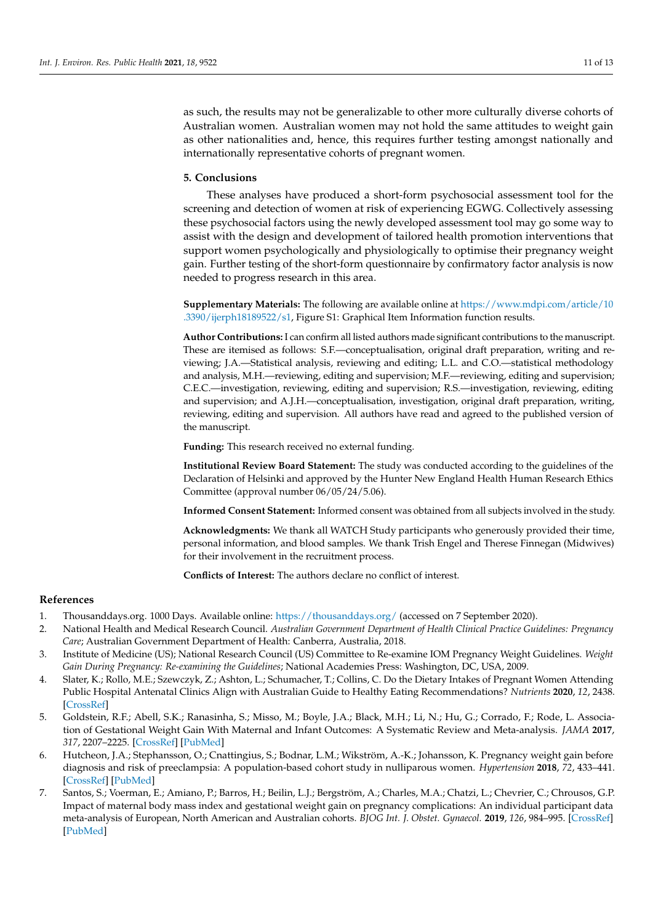as such, the results may not be generalizable to other more culturally diverse cohorts of Australian women. Australian women may not hold the same attitudes to weight gain as other nationalities and, hence, this requires further testing amongst nationally and internationally representative cohorts of pregnant women.

## **5. Conclusions**

These analyses have produced a short-form psychosocial assessment tool for the screening and detection of women at risk of experiencing EGWG. Collectively assessing these psychosocial factors using the newly developed assessment tool may go some way to assist with the design and development of tailored health promotion interventions that support women psychologically and physiologically to optimise their pregnancy weight gain. Further testing of the short-form questionnaire by confirmatory factor analysis is now needed to progress research in this area.

**Supplementary Materials:** The following are available online at [https://www.mdpi.com/article/10](https://www.mdpi.com/article/10.3390/ijerph18189522/s1) [.3390/ijerph18189522/s1,](https://www.mdpi.com/article/10.3390/ijerph18189522/s1) Figure S1: Graphical Item Information function results.

**Author Contributions:** I can confirm all listed authors made significant contributions to the manuscript. These are itemised as follows: S.F.—conceptualisation, original draft preparation, writing and reviewing; J.A.—Statistical analysis, reviewing and editing; L.L. and C.O.—statistical methodology and analysis, M.H.—reviewing, editing and supervision; M.F.—reviewing, editing and supervision; C.E.C.—investigation, reviewing, editing and supervision; R.S.—investigation, reviewing, editing and supervision; and A.J.H.—conceptualisation, investigation, original draft preparation, writing, reviewing, editing and supervision. All authors have read and agreed to the published version of the manuscript.

**Funding:** This research received no external funding.

**Institutional Review Board Statement:** The study was conducted according to the guidelines of the Declaration of Helsinki and approved by the Hunter New England Health Human Research Ethics Committee (approval number 06/05/24/5.06).

**Informed Consent Statement:** Informed consent was obtained from all subjects involved in the study.

**Acknowledgments:** We thank all WATCH Study participants who generously provided their time, personal information, and blood samples. We thank Trish Engel and Therese Finnegan (Midwives) for their involvement in the recruitment process.

**Conflicts of Interest:** The authors declare no conflict of interest.

#### **References**

- <span id="page-10-0"></span>1. Thousanddays.org. 1000 Days. Available online: <https://thousanddays.org/> (accessed on 7 September 2020).
- <span id="page-10-1"></span>2. National Health and Medical Research Council. *Australian Government Department of Health Clinical Practice Guidelines: Pregnancy Care*; Australian Government Department of Health: Canberra, Australia, 2018.
- <span id="page-10-2"></span>3. Institute of Medicine (US); National Research Council (US) Committee to Re-examine IOM Pregnancy Weight Guidelines. *Weight Gain During Pregnancy: Re-examining the Guidelines*; National Academies Press: Washington, DC, USA, 2009.
- <span id="page-10-3"></span>4. Slater, K.; Rollo, M.E.; Szewczyk, Z.; Ashton, L.; Schumacher, T.; Collins, C. Do the Dietary Intakes of Pregnant Women Attending Public Hospital Antenatal Clinics Align with Australian Guide to Healthy Eating Recommendations? *Nutrients* **2020**, *12*, 2438. [\[CrossRef\]](http://doi.org/10.3390/nu12082438)
- <span id="page-10-4"></span>5. Goldstein, R.F.; Abell, S.K.; Ranasinha, S.; Misso, M.; Boyle, J.A.; Black, M.H.; Li, N.; Hu, G.; Corrado, F.; Rode, L. Association of Gestational Weight Gain With Maternal and Infant Outcomes: A Systematic Review and Meta-analysis. *JAMA* **2017**, *317*, 2207–2225. [\[CrossRef\]](http://doi.org/10.1001/jama.2017.3635) [\[PubMed\]](http://www.ncbi.nlm.nih.gov/pubmed/28586887)
- <span id="page-10-5"></span>6. Hutcheon, J.A.; Stephansson, O.; Cnattingius, S.; Bodnar, L.M.; Wikström, A.-K.; Johansson, K. Pregnancy weight gain before diagnosis and risk of preeclampsia: A population-based cohort study in nulliparous women. *Hypertension* **2018**, *72*, 433–441. [\[CrossRef\]](http://doi.org/10.1161/HYPERTENSIONAHA.118.10999) [\[PubMed\]](http://www.ncbi.nlm.nih.gov/pubmed/29915016)
- <span id="page-10-6"></span>7. Santos, S.; Voerman, E.; Amiano, P.; Barros, H.; Beilin, L.J.; Bergström, A.; Charles, M.A.; Chatzi, L.; Chevrier, C.; Chrousos, G.P. Impact of maternal body mass index and gestational weight gain on pregnancy complications: An individual participant data meta-analysis of European, North American and Australian cohorts. *BJOG Int. J. Obstet. Gynaecol.* **2019**, *126*, 984–995. [\[CrossRef\]](http://doi.org/10.1111/1471-0528.15661) [\[PubMed\]](http://www.ncbi.nlm.nih.gov/pubmed/30786138)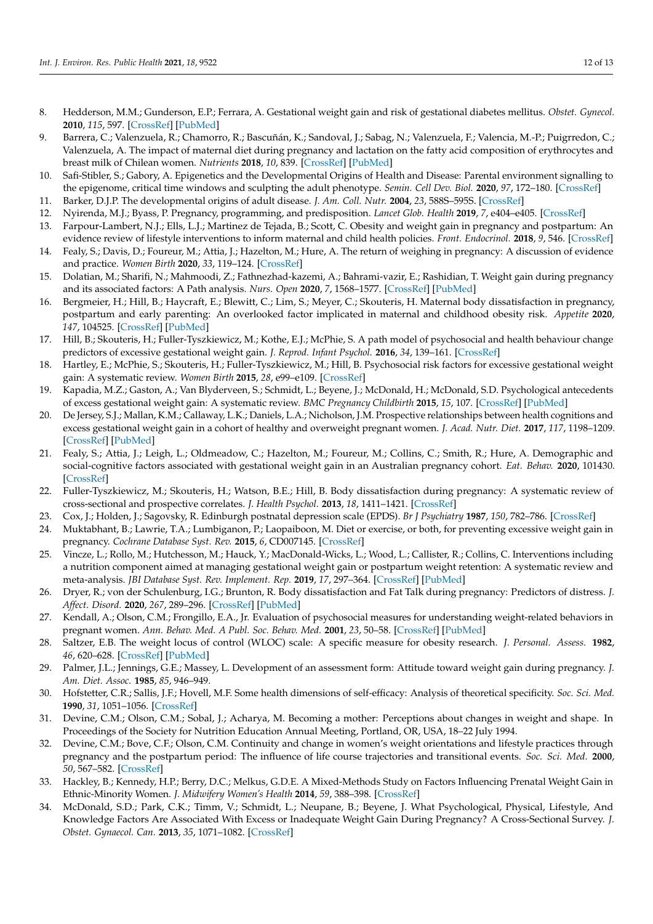- <span id="page-11-0"></span>8. Hedderson, M.M.; Gunderson, E.P.; Ferrara, A. Gestational weight gain and risk of gestational diabetes mellitus. *Obstet. Gynecol.* **2010**, *115*, 597. [\[CrossRef\]](http://doi.org/10.1097/AOG.0b013e3181cfce4f) [\[PubMed\]](http://www.ncbi.nlm.nih.gov/pubmed/20177292)
- <span id="page-11-1"></span>9. Barrera, C.; Valenzuela, R.; Chamorro, R.; Bascuñán, K.; Sandoval, J.; Sabag, N.; Valenzuela, F.; Valencia, M.-P.; Puigrredon, C.; Valenzuela, A. The impact of maternal diet during pregnancy and lactation on the fatty acid composition of erythrocytes and breast milk of Chilean women. *Nutrients* **2018**, *10*, 839. [\[CrossRef\]](http://doi.org/10.3390/nu10070839) [\[PubMed\]](http://www.ncbi.nlm.nih.gov/pubmed/29958393)
- <span id="page-11-2"></span>10. Safi-Stibler, S.; Gabory, A. Epigenetics and the Developmental Origins of Health and Disease: Parental environment signalling to the epigenome, critical time windows and sculpting the adult phenotype. *Semin. Cell Dev. Biol.* **2020**, *97*, 172–180. [\[CrossRef\]](http://doi.org/10.1016/j.semcdb.2019.09.008)
- <span id="page-11-3"></span>11. Barker, D.J.P. The developmental origins of adult disease. *J. Am. Coll. Nutr.* **2004**, *23*, 588S–595S. [\[CrossRef\]](http://doi.org/10.1080/07315724.2004.10719428)
- <span id="page-11-4"></span>12. Nyirenda, M.J.; Byass, P. Pregnancy, programming, and predisposition. *Lancet Glob. Health* **2019**, *7*, e404–e405. [\[CrossRef\]](http://doi.org/10.1016/S2214-109X(19)30051-8)
- <span id="page-11-5"></span>13. Farpour-Lambert, N.J.; Ells, L.J.; Martinez de Tejada, B.; Scott, C. Obesity and weight gain in pregnancy and postpartum: An evidence review of lifestyle interventions to inform maternal and child health policies. *Front. Endocrinol.* **2018**, *9*, 546. [\[CrossRef\]](http://doi.org/10.3389/fendo.2018.00546)
- <span id="page-11-6"></span>14. Fealy, S.; Davis, D.; Foureur, M.; Attia, J.; Hazelton, M.; Hure, A. The return of weighing in pregnancy: A discussion of evidence and practice. *Women Birth* **2020**, *33*, 119–124. [\[CrossRef\]](http://doi.org/10.1016/j.wombi.2019.05.014)
- <span id="page-11-7"></span>15. Dolatian, M.; Sharifi, N.; Mahmoodi, Z.; Fathnezhad-kazemi, A.; Bahrami-vazir, E.; Rashidian, T. Weight gain during pregnancy and its associated factors: A Path analysis. *Nurs. Open* **2020**, *7*, 1568–1577. [\[CrossRef\]](http://doi.org/10.1002/nop2.539) [\[PubMed\]](http://www.ncbi.nlm.nih.gov/pubmed/32802378)
- <span id="page-11-11"></span>16. Bergmeier, H.; Hill, B.; Haycraft, E.; Blewitt, C.; Lim, S.; Meyer, C.; Skouteris, H. Maternal body dissatisfaction in pregnancy, postpartum and early parenting: An overlooked factor implicated in maternal and childhood obesity risk. *Appetite* **2020**, *147*, 104525. [\[CrossRef\]](http://doi.org/10.1016/j.appet.2019.104525) [\[PubMed\]](http://www.ncbi.nlm.nih.gov/pubmed/31756411)
- <span id="page-11-8"></span>17. Hill, B.; Skouteris, H.; Fuller-Tyszkiewicz, M.; Kothe, E.J.; McPhie, S. A path model of psychosocial and health behaviour change predictors of excessive gestational weight gain. *J. Reprod. Infant Psychol.* **2016**, *34*, 139–161. [\[CrossRef\]](http://doi.org/10.1080/02646838.2015.1118021)
- <span id="page-11-9"></span>18. Hartley, E.; McPhie, S.; Skouteris, H.; Fuller-Tyszkiewicz, M.; Hill, B. Psychosocial risk factors for excessive gestational weight gain: A systematic review. *Women Birth* **2015**, *28*, e99–e109. [\[CrossRef\]](http://doi.org/10.1016/j.wombi.2015.04.004)
- <span id="page-11-10"></span>19. Kapadia, M.Z.; Gaston, A.; Van Blyderveen, S.; Schmidt, L.; Beyene, J.; McDonald, H.; McDonald, S.D. Psychological antecedents of excess gestational weight gain: A systematic review. *BMC Pregnancy Childbirth* **2015**, *15*, 107. [\[CrossRef\]](http://doi.org/10.1186/s12884-015-0535-y) [\[PubMed\]](http://www.ncbi.nlm.nih.gov/pubmed/25933604)
- <span id="page-11-12"></span>20. De Jersey, S.J.; Mallan, K.M.; Callaway, L.K.; Daniels, L.A.; Nicholson, J.M. Prospective relationships between health cognitions and excess gestational weight gain in a cohort of healthy and overweight pregnant women. *J. Acad. Nutr. Diet.* **2017**, *117*, 1198–1209. [\[CrossRef\]](http://doi.org/10.1016/j.jand.2016.12.011) [\[PubMed\]](http://www.ncbi.nlm.nih.gov/pubmed/28189424)
- <span id="page-11-13"></span>21. Fealy, S.; Attia, J.; Leigh, L.; Oldmeadow, C.; Hazelton, M.; Foureur, M.; Collins, C.; Smith, R.; Hure, A. Demographic and social-cognitive factors associated with gestational weight gain in an Australian pregnancy cohort. *Eat. Behav.* **2020**, 101430. [\[CrossRef\]](http://doi.org/10.1016/j.eatbeh.2020.101430)
- <span id="page-11-14"></span>22. Fuller-Tyszkiewicz, M.; Skouteris, H.; Watson, B.E.; Hill, B. Body dissatisfaction during pregnancy: A systematic review of cross-sectional and prospective correlates. *J. Health Psychol.* **2013**, *18*, 1411–1421. [\[CrossRef\]](http://doi.org/10.1177/1359105312462437)
- <span id="page-11-15"></span>23. Cox, J.; Holden, J.; Sagovsky, R. Edinburgh postnatal depression scale (EPDS). *Br J Psychiatry* **1987**, *150*, 782–786. [\[CrossRef\]](http://doi.org/10.1192/bjp.150.6.782)
- <span id="page-11-16"></span>24. Muktabhant, B.; Lawrie, T.A.; Lumbiganon, P.; Laopaiboon, M. Diet or exercise, or both, for preventing excessive weight gain in pregnancy. *Cochrane Database Syst. Rev.* **2015**, *6*, CD007145. [\[CrossRef\]](http://doi.org/10.1002/14651858.CD007145.pub3)
- <span id="page-11-17"></span>25. Vincze, L.; Rollo, M.; Hutchesson, M.; Hauck, Y.; MacDonald-Wicks, L.; Wood, L.; Callister, R.; Collins, C. Interventions including a nutrition component aimed at managing gestational weight gain or postpartum weight retention: A systematic review and meta-analysis. *JBI Database Syst. Rev. Implement. Rep.* **2019**, *17*, 297–364. [\[CrossRef\]](http://doi.org/10.11124/JBISRIR-2017-003593) [\[PubMed\]](http://www.ncbi.nlm.nih.gov/pubmed/30870329)
- <span id="page-11-18"></span>26. Dryer, R.; von der Schulenburg, I.G.; Brunton, R. Body dissatisfaction and Fat Talk during pregnancy: Predictors of distress. *J. Affect. Disord.* **2020**, *267*, 289–296. [\[CrossRef\]](http://doi.org/10.1016/j.jad.2020.02.031) [\[PubMed\]](http://www.ncbi.nlm.nih.gov/pubmed/32217229)
- <span id="page-11-19"></span>27. Kendall, A.; Olson, C.M.; Frongillo, E.A., Jr. Evaluation of psychosocial measures for understanding weight-related behaviors in pregnant women. *Ann. Behav. Med. A Publ. Soc. Behav. Med.* **2001**, *23*, 50–58. [\[CrossRef\]](http://doi.org/10.1207/S15324796ABM2301_8) [\[PubMed\]](http://www.ncbi.nlm.nih.gov/pubmed/11302356)
- <span id="page-11-20"></span>28. Saltzer, E.B. The weight locus of control (WLOC) scale: A specific measure for obesity research. *J. Personal. Assess.* **1982**, *46*, 620–628. [\[CrossRef\]](http://doi.org/10.1207/s15327752jpa4606_11) [\[PubMed\]](http://www.ncbi.nlm.nih.gov/pubmed/7161695)
- 29. Palmer, J.L.; Jennings, G.E.; Massey, L. Development of an assessment form: Attitude toward weight gain during pregnancy. *J. Am. Diet. Assoc.* **1985**, *85*, 946–949.
- <span id="page-11-21"></span>30. Hofstetter, C.R.; Sallis, J.F.; Hovell, M.F. Some health dimensions of self-efficacy: Analysis of theoretical specificity. *Soc. Sci. Med.* **1990**, *31*, 1051–1056. [\[CrossRef\]](http://doi.org/10.1016/0277-9536(90)90118-C)
- <span id="page-11-22"></span>31. Devine, C.M.; Olson, C.M.; Sobal, J.; Acharya, M. Becoming a mother: Perceptions about changes in weight and shape. In Proceedings of the Society for Nutrition Education Annual Meeting, Portland, OR, USA, 18–22 July 1994.
- <span id="page-11-23"></span>32. Devine, C.M.; Bove, C.F.; Olson, C.M. Continuity and change in women's weight orientations and lifestyle practices through pregnancy and the postpartum period: The influence of life course trajectories and transitional events. *Soc. Sci. Med.* **2000**, *50*, 567–582. [\[CrossRef\]](http://doi.org/10.1016/S0277-9536(99)00314-7)
- <span id="page-11-24"></span>33. Hackley, B.; Kennedy, H.P.; Berry, D.C.; Melkus, G.D.E. A Mixed-Methods Study on Factors Influencing Prenatal Weight Gain in Ethnic-Minority Women. *J. Midwifery Women's Health* **2014**, *59*, 388–398. [\[CrossRef\]](http://doi.org/10.1111/jmwh.12170)
- <span id="page-11-25"></span>34. McDonald, S.D.; Park, C.K.; Timm, V.; Schmidt, L.; Neupane, B.; Beyene, J. What Psychological, Physical, Lifestyle, And Knowledge Factors Are Associated With Excess or Inadequate Weight Gain During Pregnancy? A Cross-Sectional Survey. *J. Obstet. Gynaecol. Can.* **2013**, *35*, 1071–1082. [\[CrossRef\]](http://doi.org/10.1016/S1701-2163(15)30757-X)